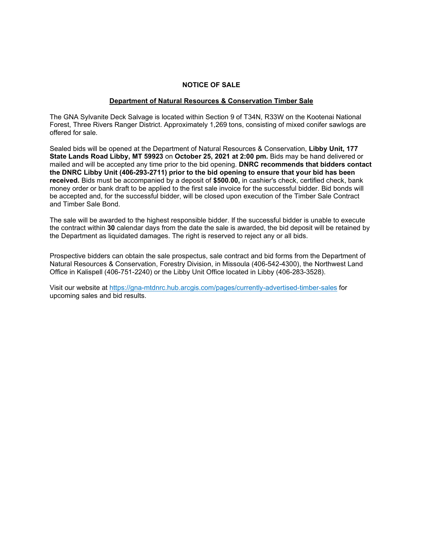### **NOTICE OF SALE**

#### **Department of Natural Resources & Conservation Timber Sale**

The GNA Sylvanite Deck Salvage is located within Section 9 of T34N, R33W on the Kootenai National Forest, Three Rivers Ranger District. Approximately 1,269 tons, consisting of mixed conifer sawlogs are offered for sale.

Sealed bids will be opened at the Department of Natural Resources & Conservation, **Libby Unit, 177 State Lands Road Libby, MT 59923** on **October 25, 2021 at 2:00 pm.** Bids may be hand delivered or mailed and will be accepted any time prior to the bid opening. **DNRC recommends that bidders contact the DNRC Libby Unit (406-293-2711) prior to the bid opening to ensure that your bid has been received.** Bids must be accompanied by a deposit of **\$500.00,** in cashier's check, certified check, bank money order or bank draft to be applied to the first sale invoice for the successful bidder. Bid bonds will be accepted and, for the successful bidder, will be closed upon execution of the Timber Sale Contract and Timber Sale Bond.

The sale will be awarded to the highest responsible bidder. If the successful bidder is unable to execute the contract within **30** calendar days from the date the sale is awarded, the bid deposit will be retained by the Department as liquidated damages. The right is reserved to reject any or all bids.

Prospective bidders can obtain the sale prospectus, sale contract and bid forms from the Department of Natural Resources & Conservation, Forestry Division, in Missoula (406-542-4300), the Northwest Land Office in Kalispell (406-751-2240) or the Libby Unit Office located in Libby (406-283-3528).

Visit our website at https://gna-mtdnrc.hub.arcgis.com/pages/currently-advertised-timber-sales for upcoming sales and bid results.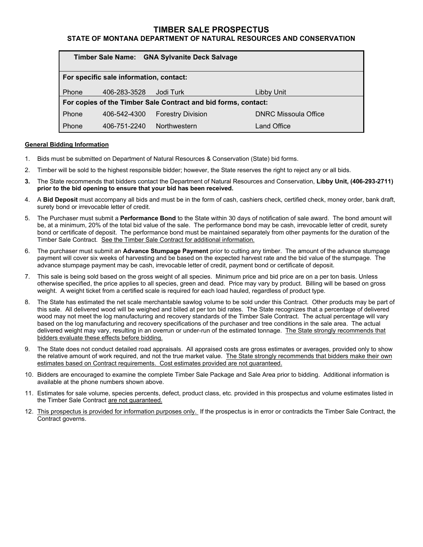## **TIMBER SALE PROSPECTUS**

### **STATE OF MONTANA DEPARTMENT OF NATURAL RESOURCES AND CONSERVATION**

| Timber Sale Name: GNA Sylvanite Deck Salvage                   |                                         |                          |                             |  |  |  |
|----------------------------------------------------------------|-----------------------------------------|--------------------------|-----------------------------|--|--|--|
|                                                                | For specific sale information, contact: |                          |                             |  |  |  |
| Phone                                                          | 406-283-3528                            | Jodi Turk                | Libby Unit                  |  |  |  |
| For copies of the Timber Sale Contract and bid forms, contact: |                                         |                          |                             |  |  |  |
| Phone                                                          | 406-542-4300                            | <b>Forestry Division</b> | <b>DNRC Missoula Office</b> |  |  |  |
| Phone                                                          | 406-751-2240                            | Northwestern             | Land Office                 |  |  |  |

#### **General Bidding Information**

- 1. Bids must be submitted on Department of Natural Resources & Conservation (State) bid forms.
- 2. Timber will be sold to the highest responsible bidder; however, the State reserves the right to reject any or all bids.
- **3.** The State recommends that bidders contact the Department of Natural Resources and Conservation, **Libby Unit, (406-293-2711) prior to the bid opening to ensure that your bid has been received.**
- 4. A **Bid Deposit** must accompany all bids and must be in the form of cash, cashiers check, certified check, money order, bank draft, surety bond or irrevocable letter of credit.
- 5. The Purchaser must submit a **Performance Bond** to the State within 30 days of notification of sale award. The bond amount will be, at a minimum, 20% of the total bid value of the sale. The performance bond may be cash, irrevocable letter of credit, surety bond or certificate of deposit. The performance bond must be maintained separately from other payments for the duration of the Timber Sale Contract. See the Timber Sale Contract for additional information.
- 6. The purchaser must submit an **Advance Stumpage Payment** prior to cutting any timber. The amount of the advance stumpage payment will cover six weeks of harvesting and be based on the expected harvest rate and the bid value of the stumpage. The advance stumpage payment may be cash, irrevocable letter of credit, payment bond or certificate of deposit.
- 7. This sale is being sold based on the gross weight of all species. Minimum price and bid price are on a per ton basis. Unless otherwise specified, the price applies to all species, green and dead. Price may vary by product. Billing will be based on gross weight. A weight ticket from a certified scale is required for each load hauled, regardless of product type.
- 8. The State has estimated the net scale merchantable sawlog volume to be sold under this Contract. Other products may be part of this sale. All delivered wood will be weighed and billed at per ton bid rates. The State recognizes that a percentage of delivered wood may not meet the log manufacturing and recovery standards of the Timber Sale Contract. The actual percentage will vary based on the log manufacturing and recovery specifications of the purchaser and tree conditions in the sale area. The actual delivered weight may vary, resulting in an overrun or under-run of the estimated tonnage. The State strongly recommends that bidders evaluate these effects before bidding.
- 9. The State does not conduct detailed road appraisals. All appraised costs are gross estimates or averages, provided only to show the relative amount of work required, and not the true market value. The State strongly recommends that bidders make their own estimates based on Contract requirements. Cost estimates provided are not guaranteed.
- 10. Bidders are encouraged to examine the complete Timber Sale Package and Sale Area prior to bidding. Additional information is available at the phone numbers shown above.
- 11. Estimates for sale volume, species percents, defect, product class, etc. provided in this prospectus and volume estimates listed in the Timber Sale Contract are not guaranteed.
- 12. This prospectus is provided for information purposes only. If the prospectus is in error or contradicts the Timber Sale Contract, the Contract governs.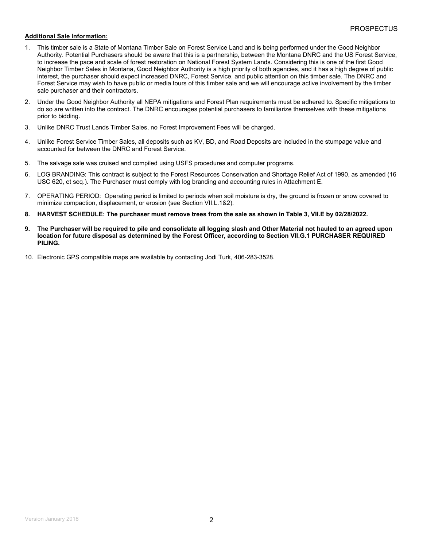#### **Additional Sale Information:**

- 1. This timber sale is a State of Montana Timber Sale on Forest Service Land and is being performed under the Good Neighbor Authority. Potential Purchasers should be aware that this is a partnership, between the Montana DNRC and the US Forest Service, to increase the pace and scale of forest restoration on National Forest System Lands. Considering this is one of the first Good Neighbor Timber Sales in Montana, Good Neighbor Authority is a high priority of both agencies, and it has a high degree of public interest, the purchaser should expect increased DNRC, Forest Service, and public attention on this timber sale. The DNRC and Forest Service may wish to have public or media tours of this timber sale and we will encourage active involvement by the timber sale purchaser and their contractors.
- 2. Under the Good Neighbor Authority all NEPA mitigations and Forest Plan requirements must be adhered to. Specific mitigations to do so are written into the contract. The DNRC encourages potential purchasers to familiarize themselves with these mitigations prior to bidding.
- 3. Unlike DNRC Trust Lands Timber Sales, no Forest Improvement Fees will be charged.
- 4. Unlike Forest Service Timber Sales, all deposits such as KV, BD, and Road Deposits are included in the stumpage value and accounted for between the DNRC and Forest Service.
- 5. The salvage sale was cruised and compiled using USFS procedures and computer programs.
- 6. LOG BRANDING: This contract is subject to the Forest Resources Conservation and Shortage Relief Act of 1990, as amended (16 USC 620, et seq.). The Purchaser must comply with log branding and accounting rules in Attachment E.
- 7. OPERATING PERIOD: Operating period is limited to periods when soil moisture is dry, the ground is frozen or snow covered to minimize compaction, displacement, or erosion (see Section VII.L.1&2).
- **8. HARVEST SCHEDULE: The purchaser must remove trees from the sale as shown in Table 3, VII.E by 02/28/2022.**
- **9. The Purchaser will be required to pile and consolidate all logging slash and Other Material not hauled to an agreed upon location for future disposal as determined by the Forest Officer, according to Section VII.G.1 PURCHASER REQUIRED PILING.**
- 10. Electronic GPS compatible maps are available by contacting Jodi Turk, 406-283-3528.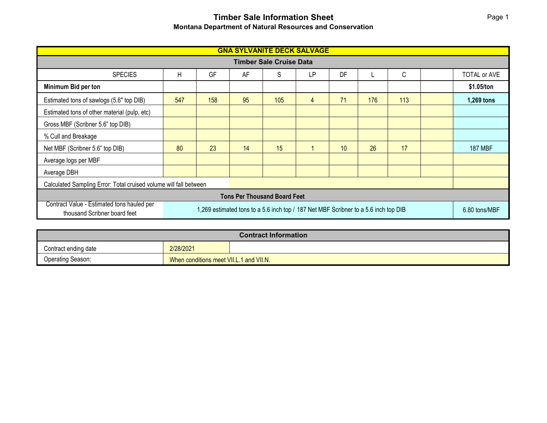# **Timber Sale Information Sheet Montana Department of Natural Resources and Conservation**

| <b>GNA SYLVANITE DECK SALVAGE</b>                                                                                                                                 |     |     |    |     |               |    |     |     |  |                |
|-------------------------------------------------------------------------------------------------------------------------------------------------------------------|-----|-----|----|-----|---------------|----|-----|-----|--|----------------|
| <b>Timber Sale Cruise Data</b>                                                                                                                                    |     |     |    |     |               |    |     |     |  |                |
| <b>SPECIES</b>                                                                                                                                                    | Н   | GF  | AF | S   | LP            | DF |     | C   |  | TOTAL or AVE   |
| Minimum Bid per ton                                                                                                                                               |     |     |    |     |               |    |     |     |  | \$1.05/ton     |
| Estimated tons of sawlogs (5.6" top DIB)                                                                                                                          | 547 | 158 | 95 | 105 | 4             | 71 | 176 | 113 |  | 1,269 tons     |
| Estimated tons of other material (pulp, etc)                                                                                                                      |     |     |    |     |               |    |     |     |  |                |
| Gross MBF (Scribner 5.6" top DIB)                                                                                                                                 |     |     |    |     |               |    |     |     |  |                |
| % Cull and Breakage                                                                                                                                               |     |     |    |     |               |    |     |     |  |                |
| Net MBF (Scribner 5.6" top DIB)                                                                                                                                   | 80  | 23  | 14 | 15  |               | 10 | 26  | 17  |  | <b>187 MBF</b> |
| Average logs per MBF                                                                                                                                              |     |     |    |     |               |    |     |     |  |                |
| Average DBH                                                                                                                                                       |     |     |    |     |               |    |     |     |  |                |
| Calculated Sampling Error: Total cruised volume will fall between                                                                                                 |     |     |    |     |               |    |     |     |  |                |
| <b>Tons Per Thousand Board Feet</b>                                                                                                                               |     |     |    |     |               |    |     |     |  |                |
| Contract Value - Estimated tons hauled per<br>1,269 estimated tons to a 5.6 inch top / 187 Net MBF Scribner to a 5.6 inch top DIB<br>thousand Scribner board feet |     |     |    |     | 6.80 tons/MBF |    |     |     |  |                |

| <b>Contract Information</b> |                                         |  |  |  |  |
|-----------------------------|-----------------------------------------|--|--|--|--|
| Contract ending date        | 2/28/2021                               |  |  |  |  |
| Operating Season:           | When conditions meet VII.L.1 and VII.N. |  |  |  |  |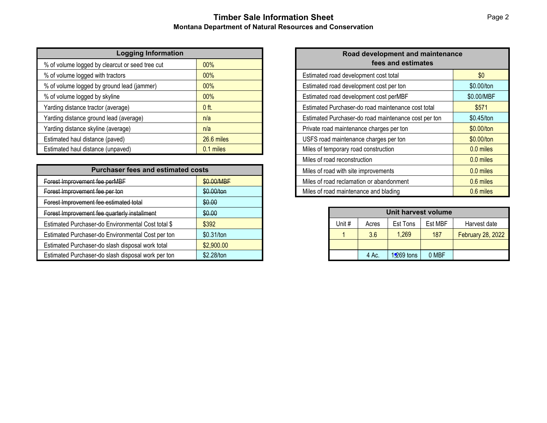# **Timber Sale Information Sheet Montana Department of Natural Resources and Conservation**

| <b>Logging Information</b>                      |            |  |
|-------------------------------------------------|------------|--|
| % of volume logged by clearcut or seed tree cut | 00%        |  |
| % of volume logged with tractors                | 00%        |  |
| % of volume logged by ground lead (jammer)      | 00%        |  |
| % of volume logged by skyline                   | 00%        |  |
| Yarding distance tractor (average)              | $0$ ft.    |  |
| Yarding distance ground lead (average)          | n/a        |  |
| Yarding distance skyline (average)              | n/a        |  |
| Estimated haul distance (paved)                 | 26.6 miles |  |
| Estimated haul distance (unpaved)               | 0.1 miles  |  |

| <b>Purchaser fees and estimated costs</b>          |            |  |  |  |
|----------------------------------------------------|------------|--|--|--|
| Forest Improvement fee perMBF                      | \$0.00/MBF |  |  |  |
| Forest Improvement fee per ton                     | \$0.00/ton |  |  |  |
| Forest Improvement fee estimated total             | \$0.00     |  |  |  |
| Forest Improvement fee quarterly installment       | \$0.00     |  |  |  |
| Estimated Purchaser-do Environmental Cost total \$ | \$392      |  |  |  |
| Estimated Purchaser-do Environmental Cost per ton  | \$0.31/ton |  |  |  |
| Estimated Purchaser-do slash disposal work total   | \$2,900.00 |  |  |  |
| Estimated Purchaser-do slash disposal work per ton | \$2.28/ton |  |  |  |

| Road development and maintenance<br>fees and estimates |             |  |  |  |  |
|--------------------------------------------------------|-------------|--|--|--|--|
| Estimated road development cost total                  | \$0         |  |  |  |  |
| Estimated road development cost per ton                | \$0.00/ton  |  |  |  |  |
| Estimated road development cost perMBF                 | \$0.00/MBF  |  |  |  |  |
| Estimated Purchaser-do road maintenance cost total     | \$571       |  |  |  |  |
| Estimated Purchaser-do road maintenance cost per ton   | \$0.45/ton  |  |  |  |  |
| Private road maintenance charges per ton               | \$0.00/ton  |  |  |  |  |
| USFS road maintenance charges per ton                  | \$0.00/ton  |  |  |  |  |
| Miles of temporary road construction                   | $0.0$ miles |  |  |  |  |
| Miles of road reconstruction                           | $0.0$ miles |  |  |  |  |
| Miles of road with site improvements                   | 0.0 miles   |  |  |  |  |
| Miles of road reclamation or abandonment               | 0.6 miles   |  |  |  |  |
| Miles of road maintenance and blading                  | 0.6 miles   |  |  |  |  |

| Unit harvest volume                                    |       |              |       |                          |  |  |  |
|--------------------------------------------------------|-------|--------------|-------|--------------------------|--|--|--|
| Unit #<br>Est MBF<br>Harvest date<br>Est Tons<br>Acres |       |              |       |                          |  |  |  |
|                                                        | 3.6   | 1,269        | 187   | <b>February 28, 2022</b> |  |  |  |
|                                                        |       |              |       |                          |  |  |  |
|                                                        | 4 Ac. | $1,269$ tons | 0 MBF |                          |  |  |  |